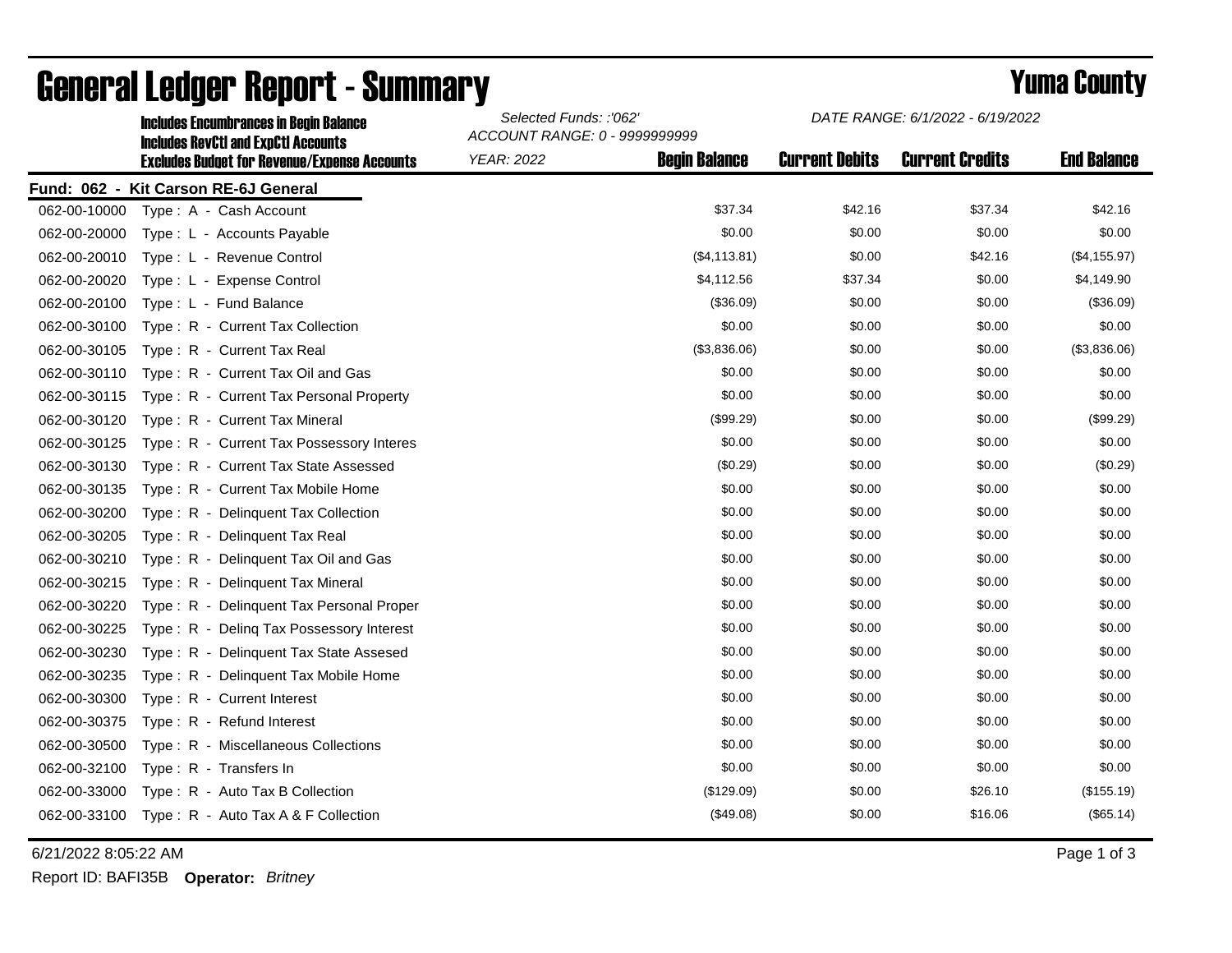|              | <b>Includes Encumbrances in Begin Balance</b><br><b>Includes RevCtI and ExpCtI Accounts</b><br><b>Excludes Budget for Revenue/Expense Accounts</b> | Selected Funds: :'062'<br>ACCOUNT RANGE: 0 - 9999999999 |                      | DATE RANGE: 6/1/2022 - 6/19/2022 |                        |                    |
|--------------|----------------------------------------------------------------------------------------------------------------------------------------------------|---------------------------------------------------------|----------------------|----------------------------------|------------------------|--------------------|
|              |                                                                                                                                                    | <b>YEAR: 2022</b>                                       | <b>Begin Balance</b> | <b>Current Debits</b>            | <b>Current Credits</b> | <b>End Balance</b> |
|              | Fund: 062 - Kit Carson RE-6J General                                                                                                               |                                                         |                      |                                  |                        |                    |
| 062-00-10000 | Type: A - Cash Account                                                                                                                             |                                                         | \$37.34              | \$42.16                          | \$37.34                | \$42.16            |
| 062-00-20000 | Type: L - Accounts Payable                                                                                                                         |                                                         | \$0.00               | \$0.00                           | \$0.00                 | \$0.00             |
| 062-00-20010 | Type: L - Revenue Control                                                                                                                          |                                                         | (\$4, 113.81)        | \$0.00                           | \$42.16                | (\$4, 155.97)      |
| 062-00-20020 | Type: L - Expense Control                                                                                                                          |                                                         | \$4,112.56           | \$37.34                          | \$0.00                 | \$4,149.90         |
| 062-00-20100 | Type: L - Fund Balance                                                                                                                             |                                                         | (\$36.09)            | \$0.00                           | \$0.00                 | (\$36.09)          |
| 062-00-30100 | Type: R - Current Tax Collection                                                                                                                   |                                                         | \$0.00               | \$0.00                           | \$0.00                 | \$0.00             |
| 062-00-30105 | Type: R - Current Tax Real                                                                                                                         |                                                         | (\$3,836.06)         | \$0.00                           | \$0.00                 | (\$3,836.06)       |
| 062-00-30110 | Type: R - Current Tax Oil and Gas                                                                                                                  |                                                         | \$0.00               | \$0.00                           | \$0.00                 | \$0.00             |
| 062-00-30115 | Type: R - Current Tax Personal Property                                                                                                            |                                                         | \$0.00               | \$0.00                           | \$0.00                 | \$0.00             |
| 062-00-30120 | Type: R - Current Tax Mineral                                                                                                                      |                                                         | (\$99.29)            | \$0.00                           | \$0.00                 | (\$99.29)          |
| 062-00-30125 | Type: R - Current Tax Possessory Interes                                                                                                           |                                                         | \$0.00               | \$0.00                           | \$0.00                 | \$0.00             |
| 062-00-30130 | Type: R - Current Tax State Assessed                                                                                                               |                                                         | (\$0.29)             | \$0.00                           | \$0.00                 | (\$0.29)           |
| 062-00-30135 | Type: R - Current Tax Mobile Home                                                                                                                  |                                                         | \$0.00               | \$0.00                           | \$0.00                 | \$0.00             |
| 062-00-30200 | Type: R - Delinquent Tax Collection                                                                                                                |                                                         | \$0.00               | \$0.00                           | \$0.00                 | \$0.00             |
| 062-00-30205 | Type: R - Delinguent Tax Real                                                                                                                      |                                                         | \$0.00               | \$0.00                           | \$0.00                 | \$0.00             |
| 062-00-30210 | Type: R - Delinquent Tax Oil and Gas                                                                                                               |                                                         | \$0.00               | \$0.00                           | \$0.00                 | \$0.00             |
| 062-00-30215 | Type: R - Delinquent Tax Mineral                                                                                                                   |                                                         | \$0.00               | \$0.00                           | \$0.00                 | \$0.00             |
| 062-00-30220 | Type: R - Delinquent Tax Personal Proper                                                                                                           |                                                         | \$0.00               | \$0.00                           | \$0.00                 | \$0.00             |
| 062-00-30225 | Type: R - Deling Tax Possessory Interest                                                                                                           |                                                         | \$0.00               | \$0.00                           | \$0.00                 | \$0.00             |
| 062-00-30230 | Type: R - Delinquent Tax State Assesed                                                                                                             |                                                         | \$0.00               | \$0.00                           | \$0.00                 | \$0.00             |
| 062-00-30235 | Type: R - Delinquent Tax Mobile Home                                                                                                               |                                                         | \$0.00               | \$0.00                           | \$0.00                 | \$0.00             |
| 062-00-30300 | Type: R - Current Interest                                                                                                                         |                                                         | \$0.00               | \$0.00                           | \$0.00                 | \$0.00             |
| 062-00-30375 | Type: R - Refund Interest                                                                                                                          |                                                         | \$0.00               | \$0.00                           | \$0.00                 | \$0.00             |
| 062-00-30500 | Type: R - Miscellaneous Collections                                                                                                                |                                                         | \$0.00               | \$0.00                           | \$0.00                 | \$0.00             |
| 062-00-32100 | Type: R - Transfers In                                                                                                                             |                                                         | \$0.00               | \$0.00                           | \$0.00                 | \$0.00             |
| 062-00-33000 | Type: R - Auto Tax B Collection                                                                                                                    |                                                         | (\$129.09)           | \$0.00                           | \$26.10                | (\$155.19)         |
| 062-00-33100 | Type: R - Auto Tax A & F Collection                                                                                                                |                                                         | (\$49.08)            | \$0.00                           | \$16.06                | (\$65.14)          |

## General Ledger Report - Summary **Example 2018** Yuma County

6/21/2022 8:05:22 AM Page 1 of 3

Report ID: BAFI35B **Operator:** *Britney*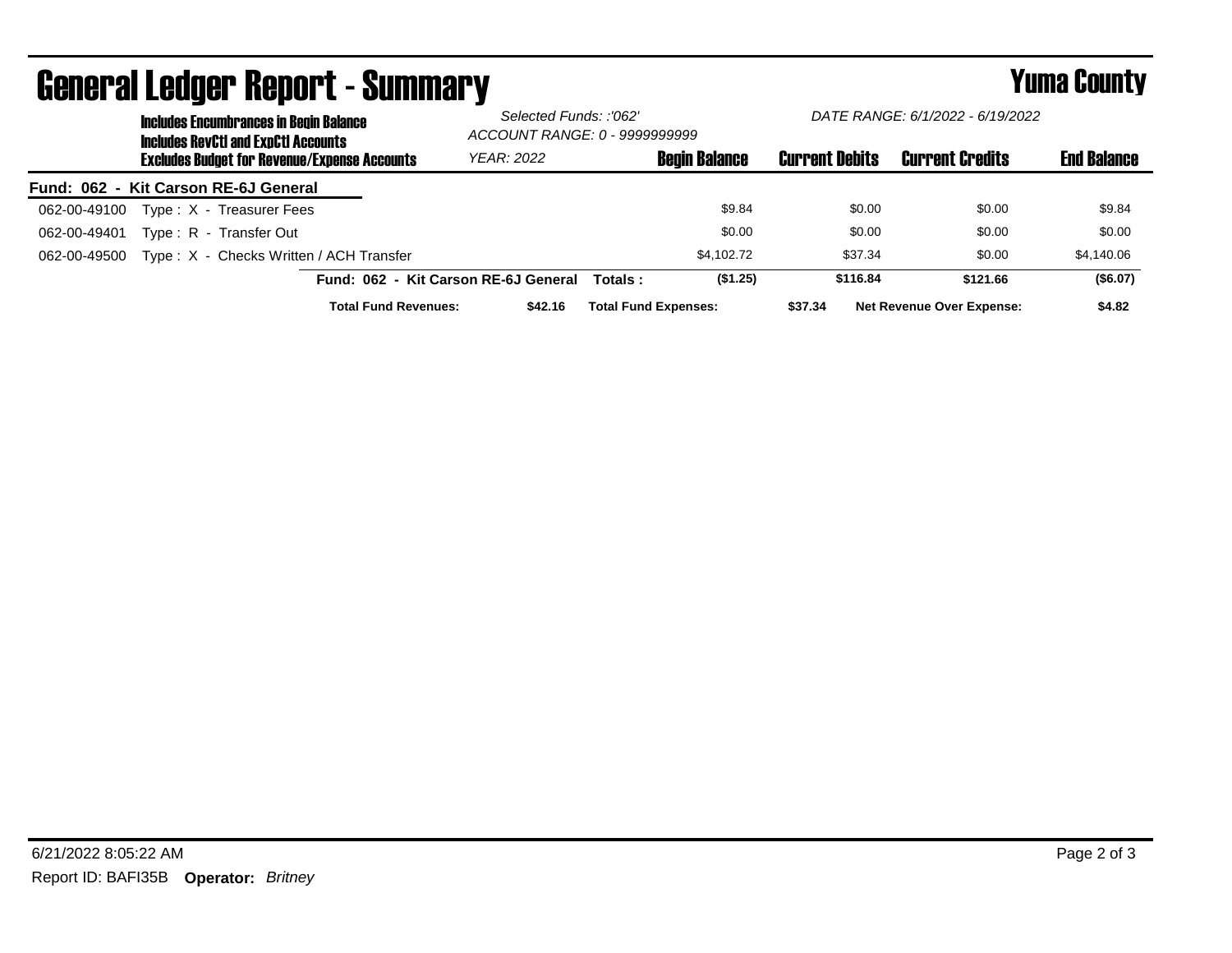|                                      | <b>Includes Encumbrances in Begin Balance</b><br><b>Includes RevCtI and ExpCtI Accounts</b><br><b>Excludes Budget for Revenue/Expense Accounts</b> | Selected Funds: :'062'<br>ACCOUNT RANGE: 0 - 9999999999 |                             | DATE RANGE: 6/1/2022 - 6/19/2022 |                       |                                  |                    |
|--------------------------------------|----------------------------------------------------------------------------------------------------------------------------------------------------|---------------------------------------------------------|-----------------------------|----------------------------------|-----------------------|----------------------------------|--------------------|
|                                      |                                                                                                                                                    | <b>YEAR: 2022</b>                                       |                             | <b>Begin Balance</b>             | <b>Current Debits</b> | <b>Current Credits</b>           | <b>End Balance</b> |
| Fund: 062 - Kit Carson RE-6J General |                                                                                                                                                    |                                                         |                             |                                  |                       |                                  |                    |
| 062-00-49100                         | Type: X - Treasurer Fees                                                                                                                           |                                                         |                             | \$9.84                           | \$0.00                | \$0.00                           | \$9.84             |
| 062-00-49401                         | Type: R - Transfer Out                                                                                                                             |                                                         |                             | \$0.00                           | \$0.00                | \$0.00                           | \$0.00             |
| 062-00-49500                         | Type: X - Checks Written / ACH Transfer                                                                                                            |                                                         |                             | \$4,102.72                       | \$37.34               | \$0.00                           | \$4,140.06         |
|                                      |                                                                                                                                                    | Fund: 062 - Kit Carson RE-6J General                    | Totals :                    | (\$1.25)                         | \$116.84              | \$121.66                         | (\$6.07)           |
|                                      | <b>Total Fund Revenues:</b>                                                                                                                        | \$42.16                                                 | <b>Total Fund Expenses:</b> |                                  | \$37.34               | <b>Net Revenue Over Expense:</b> | \$4.82             |

## General Ledger Report - Summary **Example 2018** Yuma County